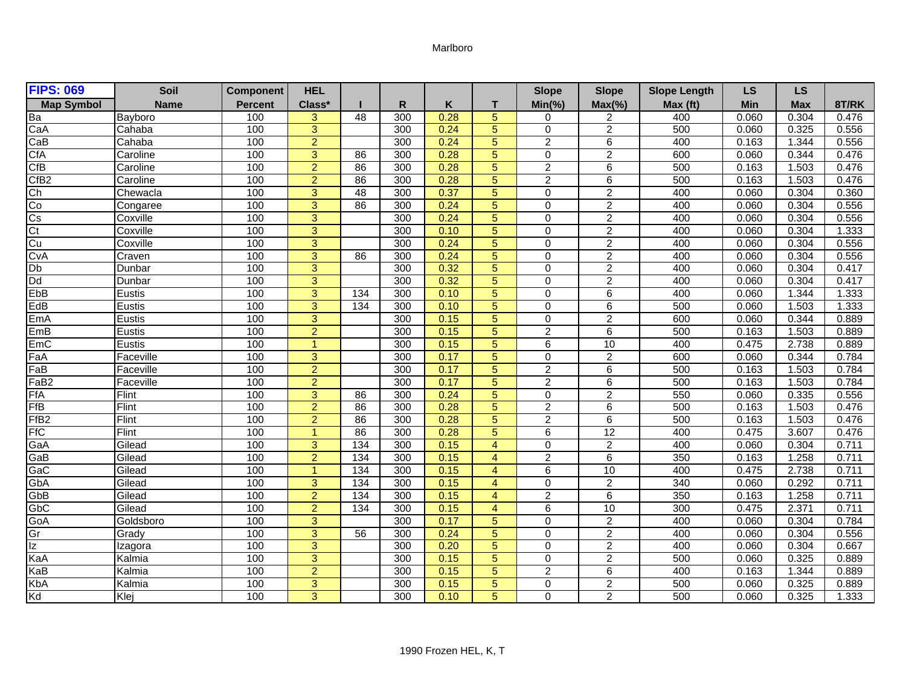## Marlboro

| <b>FIPS: 069</b>            | Soil        | <b>Component</b> | <b>HEL</b>     |                  |     |      |                | <b>Slope</b>   | <b>Slope</b>   | <b>Slope Length</b> | <b>LS</b> | <b>LS</b>  |       |
|-----------------------------|-------------|------------------|----------------|------------------|-----|------|----------------|----------------|----------------|---------------------|-----------|------------|-------|
| <b>Map Symbol</b>           | <b>Name</b> | <b>Percent</b>   | Class*         |                  | R   | Κ    | T.             | $Min(\% )$     | $Max(\% )$     | Max (ft)            | Min       | <b>Max</b> | 8T/RK |
|                             | Bayboro     | 100              | 3              | 48               | 300 | 0.28 | $\overline{5}$ | 0              | 2              | 400                 | 0.060     | 0.304      | 0.476 |
| Ba<br>CaA                   | Cahaba      | 100              | $\overline{3}$ |                  | 300 | 0.24 | $\overline{5}$ | $\Omega$       | $\overline{2}$ | 500                 | 0.060     | 0.325      | 0.556 |
| CaB                         | Cahaba      | 100              | $\overline{2}$ |                  | 300 | 0.24 | 5              | $\overline{2}$ | 6              | 400                 | 0.163     | 1.344      | 0.556 |
| CfA                         | Caroline    | 100              | 3              | 86               | 300 | 0.28 | 5              | $\Omega$       | $\overline{2}$ | 600                 | 0.060     | 0.344      | 0.476 |
| CfB                         | Caroline    | 100              | $\overline{2}$ | 86               | 300 | 0.28 | $\overline{5}$ | $\overline{2}$ | 6              | 500                 | 0.163     | 1.503      | 0.476 |
| CfB <sub>2</sub>            | Caroline    | 100              | $\overline{2}$ | 86               | 300 | 0.28 | $\overline{5}$ | $\overline{2}$ | 6              | 500                 | 0.163     | 1.503      | 0.476 |
| Ch                          | Chewacla    | 100              | 3              | 48               | 300 | 0.37 | 5              | $\Omega$       | $\overline{2}$ | 400                 | 0.060     | 0.304      | 0.360 |
| Co                          | Congaree    | 100              | 3              | 86               | 300 | 0.24 | 5              | $\Omega$       | $\overline{2}$ | 400                 | 0.060     | 0.304      | 0.556 |
| $rac{\text{Cs}}{\text{Ct}}$ | Coxville    | 100              | 3              |                  | 300 | 0.24 | 5              | 0              | $\overline{c}$ | 400                 | 0.060     | 0.304      | 0.556 |
|                             | Coxville    | 100              | 3              |                  | 300 | 0.10 | 5 <sup>5</sup> | $\Omega$       | $\overline{c}$ | 400                 | 0.060     | 0.304      | 1.333 |
| Cu<br>CvA                   | Coxville    | 100              | 3              |                  | 300 | 0.24 | 5              | 0              | $\overline{2}$ | 400                 | 0.060     | 0.304      | 0.556 |
|                             | Craven      | 100              | $\overline{3}$ | 86               | 300 | 0.24 | 5              | $\Omega$       | $\overline{2}$ | 400                 | 0.060     | 0.304      | 0.556 |
| $\frac{Db}{Dd}$             | Dunbar      | 100              | $\overline{3}$ |                  | 300 | 0.32 | $\overline{5}$ | $\Omega$       | $\overline{2}$ | 400                 | 0.060     | 0.304      | 0.417 |
|                             | Dunbar      | 100              | 3              |                  | 300 | 0.32 | $\overline{5}$ | $\Omega$       | $\overline{2}$ | 400                 | 0.060     | 0.304      | 0.417 |
| EbB                         | Eustis      | 100              | 3              | $\overline{134}$ | 300 | 0.10 | $\overline{5}$ | 0              | 6              | 400                 | 0.060     | 1.344      | 1.333 |
| EdB                         | Eustis      | 100              | 3              | 134              | 300 | 0.10 | 5              | $\Omega$       | 6              | 500                 | 0.060     | 1.503      | 1.333 |
| EmA                         | Eustis      | 100              | $\overline{3}$ |                  | 300 | 0.15 | $\overline{5}$ | $\Omega$       | $\overline{2}$ | 600                 | 0.060     | 0.344      | 0.889 |
| EmB                         | Eustis      | 100              | $\overline{2}$ |                  | 300 | 0.15 | $\overline{5}$ | $\overline{2}$ | $\overline{6}$ | 500                 | 0.163     | 1.503      | 0.889 |
| EmC                         | Eustis      | 100              | $\mathbf{1}$   |                  | 300 | 0.15 | $\overline{5}$ | 6              | 10             | 400                 | 0.475     | 2.738      | 0.889 |
| FaA                         | Faceville   | 100              | 3              |                  | 300 | 0.17 | 5              | $\mathbf 0$    | $\overline{2}$ | 600                 | 0.060     | 0.344      | 0.784 |
| FaB                         | Faceville   | 100              | $\overline{2}$ |                  | 300 | 0.17 | 5              | $\overline{2}$ | 6              | 500                 | 0.163     | 1.503      | 0.784 |
| FaB <sub>2</sub>            | Faceville   | 100              | $\overline{2}$ |                  | 300 | 0.17 | $\overline{5}$ | $\overline{2}$ | 6              | 500                 | 0.163     | 1.503      | 0.784 |
| <b>FfA</b>                  | Flint       | 100              | $\overline{3}$ | 86               | 300 | 0.24 | $\overline{5}$ | $\overline{0}$ | $\overline{2}$ | 550                 | 0.060     | 0.335      | 0.556 |
| FfB                         | Flint       | 100              | $\overline{2}$ | 86               | 300 | 0.28 | 5              | $\overline{2}$ | 6              | 500                 | 0.163     | 1.503      | 0.476 |
| FfB <sub>2</sub>            | Flint       | 100              | $\overline{2}$ | 86               | 300 | 0.28 | 5              | $\overline{2}$ | 6              | 500                 | 0.163     | 1.503      | 0.476 |
| <b>FfC</b>                  | Flint       | 100              | $\mathbf{1}$   | 86               | 300 | 0.28 | $\overline{5}$ | 6              | 12             | 400                 | 0.475     | 3.607      | 0.476 |
| GaA                         | Gilead      | 100              | $\overline{3}$ | 134              | 300 | 0.15 | $\overline{4}$ | $\mathbf 0$    | $\overline{2}$ | 400                 | 0.060     | 0.304      | 0.711 |
| GaB                         | Gilead      | 100              | $\overline{2}$ | 134              | 300 | 0.15 | $\overline{4}$ | $\overline{2}$ | 6              | 350                 | 0.163     | 1.258      | 0.711 |
| GaC                         | Gilead      | 100              | $\mathbf{1}$   | 134              | 300 | 0.15 | $\overline{4}$ | 6              | 10             | 400                 | 0.475     | 2.738      | 0.711 |
| GbA                         | Gilead      | 100              | 3              | $\overline{134}$ | 300 | 0.15 | $\overline{4}$ | 0              | $\overline{c}$ | 340                 | 0.060     | 0.292      | 0.711 |
| GbB                         | Gilead      | 100              | $\overline{a}$ | $\frac{134}{2}$  | 300 | 0.15 | $\overline{4}$ | $\overline{a}$ | 6              | 350                 | 0.163     | 1.258      | 0.711 |
| GpC                         | Gilead      | 100              | $\overline{2}$ | $\overline{134}$ | 300 | 0.15 | $\overline{4}$ | 6              | 10             | 300                 | 0.475     | 2.371      | 0.711 |
| GoA                         | Goldsboro   | 100              | 3              |                  | 300 | 0.17 | 5              | $\Omega$       | $\overline{2}$ | 400                 | 0.060     | 0.304      | 0.784 |
| Gr                          | Grady       | 100              | 3              | 56               | 300 | 0.24 | 5              | $\Omega$       | $\overline{2}$ | 400                 | 0.060     | 0.304      | 0.556 |
| z                           | Izagora     | 100              | $\overline{3}$ |                  | 300 | 0.20 | $\overline{5}$ | $\Omega$       | $\overline{2}$ | 400                 | 0.060     | 0.304      | 0.667 |
| KaA                         | Kalmia      | 100              | 3              |                  | 300 | 0.15 | 5 <sub>5</sub> | 0              | $\overline{c}$ | 500                 | 0.060     | 0.325      | 0.889 |
| KaB                         | Kalmia      | 100              | $\overline{2}$ |                  | 300 | 0.15 | 5              | $\overline{2}$ | 6              | 400                 | 0.163     | 1.344      | 0.889 |
| KbA                         | Kalmia      | 100              | 3              |                  | 300 | 0.15 | $\overline{5}$ | $\mathbf 0$    | $\overline{c}$ | 500                 | 0.060     | 0.325      | 0.889 |
| Kd                          | Klej        | 100              | $\overline{3}$ |                  | 300 | 0.10 | $\overline{5}$ | $\Omega$       | $\overline{2}$ | 500                 | 0.060     | 0.325      | 1.333 |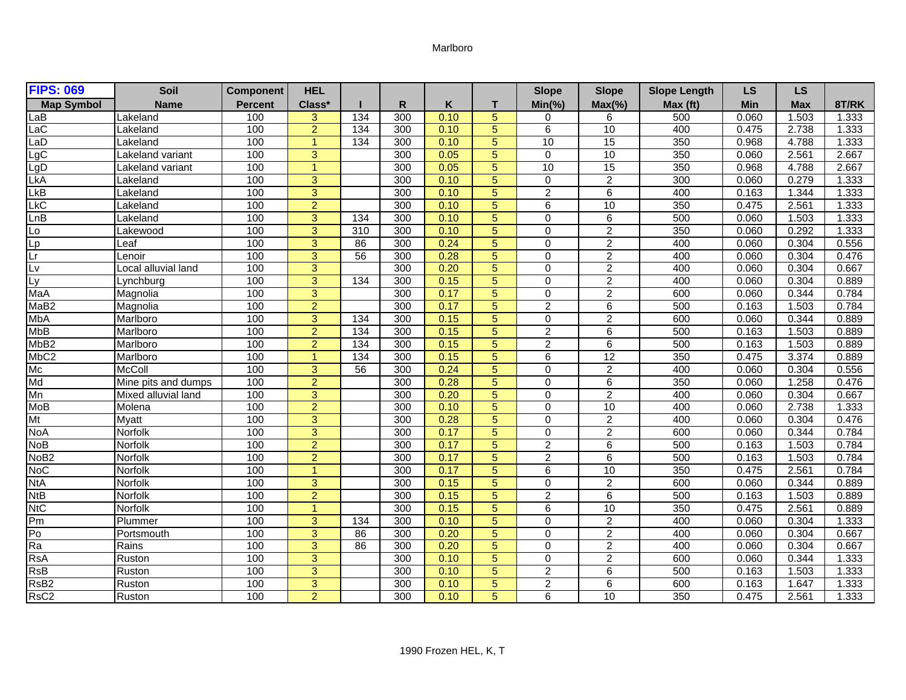## Marlboro

| <b>FIPS: 069</b>        | Soil                | <b>Component</b> | <b>HEL</b>     |                  |     |      |                | <b>Slope</b>   | <b>Slope</b>    | <b>Slope Length</b> | <b>LS</b> | <b>LS</b>  |       |
|-------------------------|---------------------|------------------|----------------|------------------|-----|------|----------------|----------------|-----------------|---------------------|-----------|------------|-------|
| <b>Map Symbol</b>       | <b>Name</b>         | <b>Percent</b>   | Class*         |                  | R.  | Κ    | T.             | $Min(\% )$     | $Max(\% )$      | Max (ft)            | Min       | <b>Max</b> | 8T/RK |
| _aB                     | Lakeland            | 100              | 3              | 134              | 300 | 0.10 | 5              | 0              | 6               | 500                 | 0.060     | 1.503      | 1.333 |
| LaC                     | Lakeland            | 100              | $\overline{2}$ | 134              | 300 | 0.10 | $\overline{5}$ | $\overline{6}$ | 10              | 400                 | 0.475     | 2.738      | 1.333 |
| LaD                     | Lakeland            | 100              | $\mathbf{1}$   | 134              | 300 | 0.10 | 5              | 10             | $\overline{15}$ | 350                 | 0.968     | 4.788      | 1.333 |
| LgC                     | Lakeland variant    | 100              | 3              |                  | 300 | 0.05 | 5              | $\Omega$       | 10              | 350                 | 0.060     | 2.561      | 2.667 |
| LgD<br>LkA              | Lakeland variant    | 100              | 1              |                  | 300 | 0.05 | 5              | 10             | $\overline{15}$ | 350                 | 0.968     | 4.788      | 2.667 |
|                         | Lakeland            | 100              | 3              |                  | 300 | 0.10 | $\overline{5}$ | $\Omega$       | $\overline{2}$  | 300                 | 0.060     | 0.279      | 1.333 |
| LkB                     | Lakeland            | 100              | 3              |                  | 300 | 0.10 | 5              | $\overline{2}$ | 6               | 400                 | 0.163     | 1.344      | 1.333 |
| $\overline{\text{LkC}}$ | Lakeland            | 100              | $\overline{2}$ |                  | 300 | 0.10 | 5              | 6              | 10              | 350                 | 0.475     | 2.561      | 1.333 |
| LnB                     | Lakeland            | 100              | 3              | 134              | 300 | 0.10 | 5              | 0              | 6               | 500                 | 0.060     | 1.503      | 1.333 |
| Lo                      | Lakewood            | 100              | 3              | $\overline{310}$ | 300 | 0.10 | 5              | $\Omega$       | $\overline{2}$  | 350                 | 0.060     | 0.292      | 1.333 |
| 다<br>고                  | Leaf                | 100              | 3              | 86               | 300 | 0.24 | 5              | 0              | $\overline{c}$  | 400                 | 0.060     | 0.304      | 0.556 |
|                         | Lenoir              | 100              | 3              | $\overline{56}$  | 300 | 0.28 | 5              | $\Omega$       | $\overline{2}$  | 400                 | 0.060     | 0.304      | 0.476 |
| Lv                      | Local alluvial land | 100              | $\overline{3}$ |                  | 300 | 0.20 | $\overline{5}$ | $\Omega$       | $\overline{2}$  | 400                 | 0.060     | 0.304      | 0.667 |
| Ly                      | Lynchburg           | 100              | 3              | 134              | 300 | 0.15 | $\overline{5}$ | $\Omega$       | $\overline{2}$  | 400                 | 0.060     | 0.304      | 0.889 |
| MaA                     | Magnolia            | 100              | 3              |                  | 300 | 0.17 | $\overline{5}$ | 0              | $\overline{2}$  | 600                 | 0.060     | 0.344      | 0.784 |
| MaB <sub>2</sub>        | Magnolia            | 100              | $\overline{2}$ |                  | 300 | 0.17 | 5              | $\overline{2}$ | 6               | 500                 | 0.163     | 1.503      | 0.784 |
| <b>MbA</b>              | Marlboro            | 100              | $\overline{3}$ | 134              | 300 | 0.15 | $\overline{5}$ | $\Omega$       | $\overline{2}$  | 600                 | 0.060     | 0.344      | 0.889 |
| <b>MbB</b>              | Marlboro            | 100              | $\overline{2}$ | 134              | 300 | 0.15 | $\overline{5}$ | $\overline{2}$ | 6               | 500                 | 0.163     | 1.503      | 0.889 |
| MbB <sub>2</sub>        | Marlboro            | 100              | $\overline{2}$ | $\overline{134}$ | 300 | 0.15 | 5              | $\overline{2}$ | 6               | 500                 | 0.163     | 1.503      | 0.889 |
| MbC <sub>2</sub>        | Marlboro            | 100              | $\mathbf{1}$   | 134              | 300 | 0.15 | 5 <sup>5</sup> | 6              | 12              | 350                 | 0.475     | 3.374      | 0.889 |
| Mc                      | <b>McColl</b>       | 100              | 3              | 56               | 300 | 0.24 | 5              | $\Omega$       | $\overline{c}$  | 400                 | 0.060     | 0.304      | 0.556 |
| Md                      | Mine pits and dumps | 100              | $\overline{2}$ |                  | 300 | 0.28 | $\overline{5}$ | $\Omega$       | 6               | 350                 | 0.060     | 1.258      | 0.476 |
| Mn                      | Mixed alluvial land | 100              | $\overline{3}$ |                  | 300 | 0.20 | $\overline{5}$ | $\overline{0}$ | $\overline{2}$  | 400                 | 0.060     | 0.304      | 0.667 |
| <b>MoB</b>              | Molena              | 100              | $\overline{2}$ |                  | 300 | 0.10 | 5              | $\Omega$       | 10              | 400                 | 0.060     | 2.738      | 1.333 |
| Mt                      | <b>Myatt</b>        | 100              | 3              |                  | 300 | 0.28 | 5              | $\Omega$       | $\overline{2}$  | 400                 | 0.060     | 0.304      | 0.476 |
| <b>NoA</b>              | Norfolk             | 100              | 3              |                  | 300 | 0.17 | 5              | $\Omega$       | $\overline{c}$  | 600                 | 0.060     | 0.344      | 0.784 |
| <b>NoB</b>              | Norfolk             | 100              | $\overline{2}$ |                  | 300 | 0.17 | 5              | $\overline{2}$ | 6               | 500                 | 0.163     | 1.503      | 0.784 |
| NoB <sub>2</sub>        | Norfolk             | 100              | $\overline{2}$ |                  | 300 | 0.17 | 5              | $\overline{2}$ | 6               | 500                 | 0.163     | 1.503      | 0.784 |
| <b>NoC</b>              | Norfolk             | 100              | $\overline{1}$ |                  | 300 | 0.17 | 5              | 6              | 10              | 350                 | 0.475     | 2.561      | 0.784 |
| <b>NtA</b>              | <b>Norfolk</b>      | 100              | 3              |                  | 300 | 0.15 | 5              | 0              | $\overline{c}$  | 600                 | 0.060     | 0.344      | 0.889 |
| <b>NtB</b>              | Norfolk             | 100              | $\overline{a}$ |                  | 300 | 0.15 | $\overline{5}$ | $\overline{a}$ | 6               | 500                 | 0.163     | 1.503      | 0.889 |
| <b>NtC</b>              | Norfolk             | 100              | $\mathbf{1}$   |                  | 300 | 0.15 | 5              | 6              | 10              | 350                 | 0.475     | 2.561      | 0.889 |
| Pm                      | Plummer             | 100              | 3              | 134              | 300 | 0.10 | 5              | $\Omega$       | $\overline{2}$  | 400                 | 0.060     | 0.304      | 1.333 |
| Po                      | Portsmouth          | 100              | 3              | 86               | 300 | 0.20 | 5              | $\Omega$       | $\overline{2}$  | 400                 | 0.060     | 0.304      | 0.667 |
| Ra                      | Rains               | 100              | $\overline{3}$ | 86               | 300 | 0.20 | $\overline{5}$ | $\Omega$       | $\overline{2}$  | 400                 | 0.060     | 0.304      | 0.667 |
| <b>RsA</b>              | Ruston              | 100              | 3              |                  | 300 | 0.10 | 5              | 0              | $\overline{c}$  | 600                 | 0.060     | 0.344      | 1.333 |
| RSB                     | Ruston              | 100              | 3              |                  | 300 | 0.10 | 5              | $\overline{2}$ | 6               | 500                 | 0.163     | 1.503      | 1.333 |
| RsB <sub>2</sub>        | Ruston              | 100              | 3              |                  | 300 | 0.10 | $\overline{5}$ | $\overline{c}$ | 6               | 600                 | 0.163     | 1.647      | 1.333 |
| RsC <sub>2</sub>        | Ruston              | 100              | $\overline{2}$ |                  | 300 | 0.10 | $\overline{5}$ | 6              | 10              | 350                 | 0.475     | 2.561      | 1.333 |